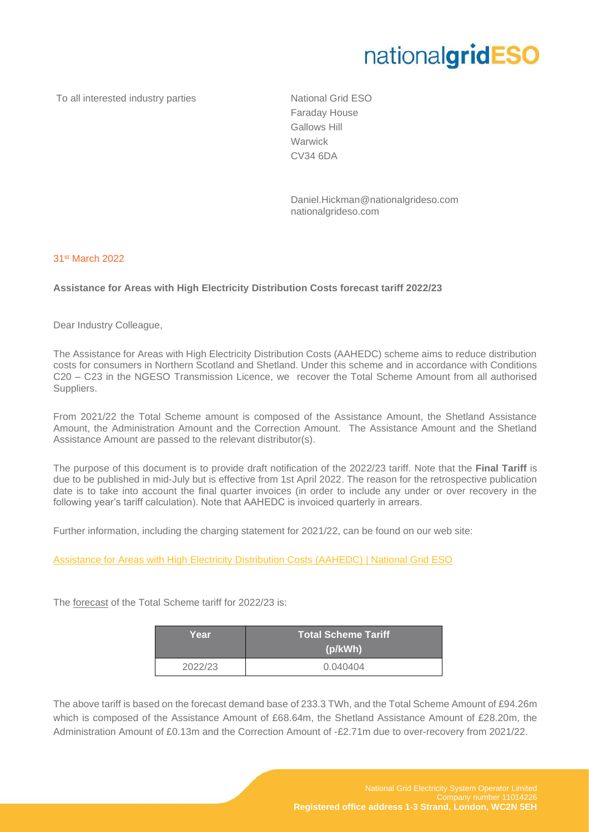## nationalgridESO

To all interested industry parties National Grid ESO

Faraday House Gallows Hill **Warwick** CV34 6DA

Daniel.Hickman@nationalgrideso.com nationalgrideso.com

## 31st March 2022

## **Assistance for Areas with High Electricity Distribution Costs forecast tariff 2022/23**

Dear Industry Colleague,

The Assistance for Areas with High Electricity Distribution Costs (AAHEDC) scheme aims to reduce distribution costs for consumers in Northern Scotland and Shetland. Under this scheme and in accordance with Conditions C20 – C23 in the NGESO Transmission Licence, we recover the Total Scheme Amount from all authorised Suppliers.

From 2021/22 the Total Scheme amount is composed of the Assistance Amount, the Shetland Assistance Amount, the Administration Amount and the Correction Amount. The Assistance Amount and the Shetland Assistance Amount are passed to the relevant distributor(s).

The purpose of this document is to provide draft notification of the 2022/23 tariff. Note that the **Final Tariff** is due to be published in mid-July but is effective from 1st April 2022. The reason for the retrospective publication date is to take into account the final quarter invoices (in order to include any under or over recovery in the following year's tariff calculation). Note that AAHEDC is invoiced quarterly in arrears.

Further information, including the charging statement for 2021/22, can be found on our web site:

[Assistance for Areas with High Electricity Distribution Costs \(AAHEDC\) | National Grid ESO](https://www.nationalgrideso.com/industry-information/charging/assistance-areas-high-electricity-distribution-costs-aahedc)

The forecast of the Total Scheme tariff for 2022/23 is:

| Year    | <b>Total Scheme Tariff</b><br>(p/kWh) |
|---------|---------------------------------------|
| 2022/23 | 0.040404                              |

The above tariff is based on the forecast demand base of 233.3 TWh, and the Total Scheme Amount of £94.26m which is composed of the Assistance Amount of £68.64m, the Shetland Assistance Amount of £28.20m, the Administration Amount of £0.13m and the Correction Amount of -£2.71m due to over-recovery from 2021/22.